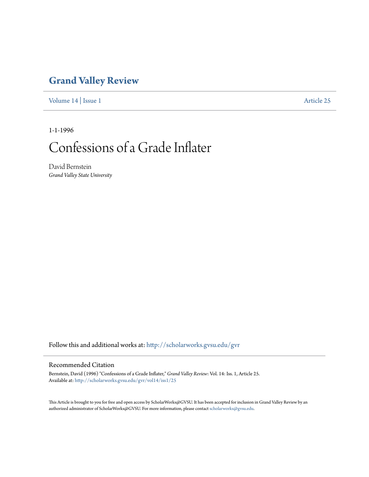## **[Grand Valley Review](http://scholarworks.gvsu.edu/gvr?utm_source=scholarworks.gvsu.edu%2Fgvr%2Fvol14%2Fiss1%2F25&utm_medium=PDF&utm_campaign=PDFCoverPages)**

[Volume 14](http://scholarworks.gvsu.edu/gvr/vol14?utm_source=scholarworks.gvsu.edu%2Fgvr%2Fvol14%2Fiss1%2F25&utm_medium=PDF&utm_campaign=PDFCoverPages) | [Issue 1](http://scholarworks.gvsu.edu/gvr/vol14/iss1?utm_source=scholarworks.gvsu.edu%2Fgvr%2Fvol14%2Fiss1%2F25&utm_medium=PDF&utm_campaign=PDFCoverPages) [Article 25](http://scholarworks.gvsu.edu/gvr/vol14/iss1/25?utm_source=scholarworks.gvsu.edu%2Fgvr%2Fvol14%2Fiss1%2F25&utm_medium=PDF&utm_campaign=PDFCoverPages)

1-1-1996

# Confessions of a Grade Inflater

David Bernstein *Grand Valley State University*

Follow this and additional works at: [http://scholarworks.gvsu.edu/gvr](http://scholarworks.gvsu.edu/gvr?utm_source=scholarworks.gvsu.edu%2Fgvr%2Fvol14%2Fiss1%2F25&utm_medium=PDF&utm_campaign=PDFCoverPages)

#### Recommended Citation

Bernstein, David (1996) "Confessions of a Grade Inflater," *Grand Valley Review*: Vol. 14: Iss. 1, Article 25. Available at: [http://scholarworks.gvsu.edu/gvr/vol14/iss1/25](http://scholarworks.gvsu.edu/gvr/vol14/iss1/25?utm_source=scholarworks.gvsu.edu%2Fgvr%2Fvol14%2Fiss1%2F25&utm_medium=PDF&utm_campaign=PDFCoverPages)

This Article is brought to you for free and open access by ScholarWorks@GVSU. It has been accepted for inclusion in Grand Valley Review by an authorized administrator of ScholarWorks@GVSU. For more information, please contact [scholarworks@gvsu.edu.](mailto:scholarworks@gvsu.edu)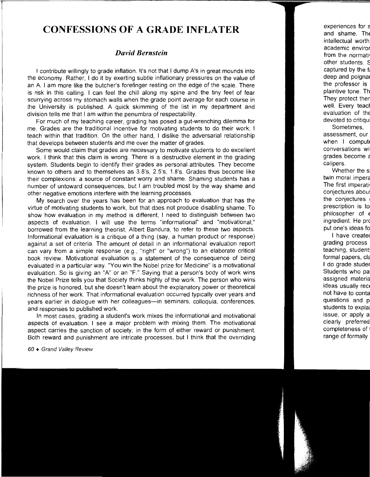### **CONFESSIONS OF A GRADE INFLATER**

#### *David Bernstein*

I contribute willingly to grade inflation. It's not that I dump A's in great mounds into the economy. Rather, I do it by exerting subtle inflationary pressures on the value of an A. I am more like the butcher's forefinger resting on the edge of the scale. There is risk in this calling. I can feel the chill along my spine and the tiny feet of fear scurrying across my stomach walls when the grade point average for each course in the University is published. A quick skimming of the list in my department and division tells me that I am within the penumbra of respectability.

For much of my teaching career, grading has posed a gut-wrenching dilemma for me. Grades are the traditional incentive for motivating students to do their work; I teach within that tradition. On the other hand, I dislike the adversarial relationship that develops between students and me over the matter of grades.

Some would claim that grades are necessary to motivate students to do excellent work. I think that this claim is wrong. There is a destructive element in the grading system. Students begin to identify their grades as personal attributes. They become known to others and to themselves as 3.8's, 2.5's, 1.8's. Grades thus become like their complexions: a source of constant worry and shame. Shaming students has a number of untoward consequences, but I am troubled most by the way shame and other negative emotions interfere with the learning processes.

My search over the years has been for an approach to evaluation that has the virtue of motivating students to work, but that does not produce disabling shame. To show how evaluation in my method is different, I need to distinguish between two aspects of evaluation. I will use the terms "informational" and "motivational," borrowed from the learning theorist, Albert Bandura, to refer to these two aspects. Informational evaluation is a critique of a thing (say, a human product or response) against a set of criteria. The amount of detail in an informational evaluation report can vary from a simple response (e.g., "right" or "wrong") to an elaborate critical book review. Motivational evaluation is a statement of the consequence of being evaluated in a particular way. "You win the Nobel prize for Medicine" is a motivational evaluation. So is giving an "A" or an "F." Saying that a person's body of work wins the Nobel Prize tells you that Society thinks highly of the work. The person who wins the prize is honored, but she doesn't learn about the explanatory power or theoretical richness of her work. That informational evaluation occurred typically over years and years earlier in dialogue with her colleagues-in seminars, colloquia, conferences, and responses to published work.

In most cases, grading a student's work mixes the informational and motivational aspects of evaluation. I see a major problem with mixing them. The motivational aspect carries the sanction of society, in the form of either reward or punishment. Both reward and punishment are intricate processes, but I think that the overriding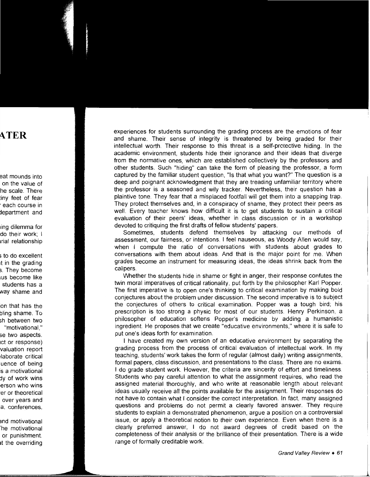experiences for students surrounding the grading process are the emotions of fear and shame. Their sense of integrity is threatened by being graded for their intellectual worth. Their response to this threat is a self-protective hiding. In the academic environment, students hide their ignorance and their ideas that diverge from the normative ones, which are established collectively by the professors and other students. Such "hiding" can take the form of pleasing the professor, a form captured by the familiar student question, "Is that what you want?" The question is a deep and poignant acknowledgment that they are treading unfamiliar territory where the professor is a seasoned and wily tracker. Nevertheless, their question has a plaintive tone. They fear that a misplaced footfall will get them into a snapping trap. They protect themselves and, in a conspiracy of shame, they protect their peers as well. Every teacher knows how difficult it is to get students to sustain a critical evaluation of their peers' ideas, whether in class discussion or in a workshop devoted to critiquing the first drafts of fellow students' papers.

Sometimes, students defend themselves by attacking our methods of assessment, our fairness, or intentions. I feel nauseous, as Woody Allen would say, when I compute the ratio of conversations with students about grades to conversations with them about ideas. And that is the major point for me. When grades become an instrument for measuring ideas, the ideas shrink back from the calipers.

Whether the students hide in shame or fight in anger, their response confutes the twin moral imperatives of critical rationality, put forth by the philosopher Karl Popper. The first imperative is to open one's thinking to critical examination by making bold conjectures about the problem under discussion. The second imperative is to subject the conjectures of others to critical examination. Popper was a tough bird; his prescription is too strong a physic for most of our students. Henry Perkinson, a philosopher of education softens Popper's medicine by adding a humanistic ingredient. He proposes that we create "educative environments," where it is safe to put one's ideas forth for examination.

I have created my own version of an educative environment by separating the grading process from the process of critical evaluation of intellectual work. In my teaching, students' work takes the form of regular (almost daily) writing assignments, formal papers, class discussion, and presentations to the class. There are no exams. I do grade student work. However, the criteria are sincerity of effort and timeliness. Students who pay careful attention to what the assignment requires, who read the assigned material thoroughly, and who write at reasonable length about relevant ideas usually receive all the points available for the assignment. Their responses do not have to contain what I consider the correct interpretation. In fact, many assigned questions and problems do not permit a clearly favored answer. They require students to explain a demonstrated phenomenon, argue a position on a controversial issue, or apply a theoretical notion to their own experience. Even when there is a clearly preferred answer, I do not award degrees of credit based on the completeness of their analysis or the brilliance of their presentation. There is a wide range of formally creditable work.